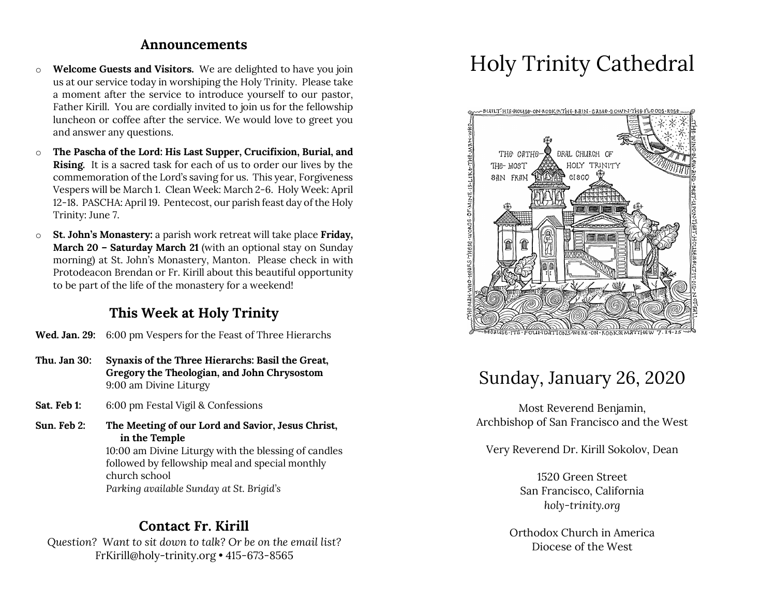#### **Announcements**

- o **Welcome Guests and Visitors.** We are delighted to have you join us at our service today in worshiping the Holy Trinity. Please take a moment after the service to introduce yourself to our pastor, Father Kirill. You are cordially invited to join us for the fellowship luncheon or coffee after the service. We would love to greet you and answer any questions.
- o **The Pascha of the Lord: His Last Supper, Crucifixion, Burial, and Rising.** It is a sacred task for each of us to order our lives by the commemoration of the Lord's saving for us. This year, Forgiveness Vespers will be March 1. Clean Week: March 2-6. Holy Week: April 12-18. PASCHA: April 19. Pentecost, our parish feast day of the Holy Trinity: June 7.
- o **St. John's Monastery:** a parish work retreat will take place **Friday, March 20 – Saturday March 21** (with an optional stay on Sunday morning) at St. John's Monastery, Manton. Please check in with Protodeacon Brendan or Fr. Kirill about this beautiful opportunity to be part of the life of the monastery for a weekend!

## **This Week at Holy Trinity**

- **Wed. Jan. 29:** 6:00 pm Vespers for the Feast of Three Hierarchs
- **Thu. Jan 30: Synaxis of the Three Hierarchs: Basil the Great, Gregory the Theologian, and John Chrysostom** 9:00 am Divine Liturgy
- **Sat. Feb 1:** 6:00 pm Festal Vigil & Confessions
- **Sun. Feb 2: The Meeting of our Lord and Savior, Jesus Christ, in the Temple**

10:00 am Divine Liturgy with the blessing of candles followed by fellowship meal and special monthly church school *Parking available Sunday at St. Brigid's*

### **Contact Fr. Kirill**

*Question? Want to sit down to talk? Or be on the email list?* FrKirill@holy-trinity.org • 415-673-8565

# Holy Trinity Cathedral



# Sunday, January 26, 2020

Most Reverend Benjamin, Archbishop of San Francisco and the West

Very Reverend Dr. Kirill Sokolov, Dean

1520 Green Street San Francisco, California *holy-trinity.org*

Orthodox Church in America Diocese of the West